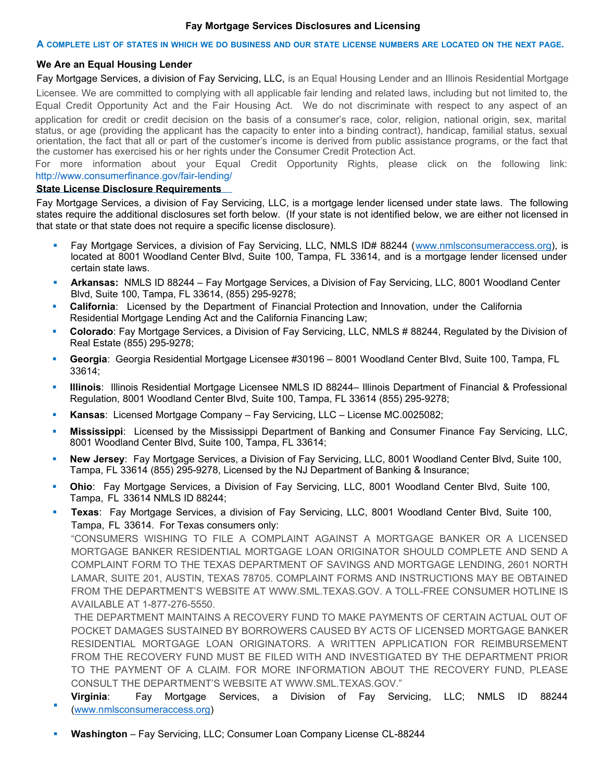# **Fay Mortgage Services Disclosures and Licensing**

### A COMPLETE LIST OF STATES IN WHICH WE DO BUSINESS AND OUR STATE LICENSE NUMBERS ARE LOCATED ON THE NEXT PAGE.

### **We Are an Equal Housing Lender**

Fay Mortgage Services, a division of Fay Servicing, LLC, is an Equal Housing Lender and an Illinois Residential Mortgage Licensee. We are committed to complying with all applicable fair lending and related laws, including but not limited to, the Equal Credit Opportunity Act and the Fair Housing Act. We do not discriminate with respect to any aspect of an application for credit or credit decision on the basis of a consumer's race, color, religion, national origin, sex, marital status, or age (providing the applicant has the capacity to enter into a binding contract), handicap, familial status, sexual orientation, the fact that all or part of the customer's income is derived from public assistance programs, or the fact that the customer has exercised his or her rights under the Consumer Credit Protection Act.

For more information about your Equal Credit Opportunity Rights, please click on the following link: http://www.consumerfinance.gov/fair-lending/

### **[State License Disclosure Requirements](http://www.consumerfinance.gov/fair-lending/)**

Fay Mortgage Services, a division of Fay Servicing, LLC, is a mortgage lender licensed under state laws. The following states require the additional disclosures set forth below. (If your state is not identified below, we are either not licensed in that state or that state does not require a specific license disclosure).

- Fay Mortgage Services, a division of Fay Servicing, LLC, NMLS ID# 88244 ([www.nmlsconsumeraccess.org\),](http://www.nmlsconsumeraccess.org/) is located at 8001 Woodland Center Blvd, Suite 100, Tampa, FL 33614, and is a mortgage lender licensed under certain state laws.
- **Arkansas:** NMLS ID 88244 Fay Mortgage Services, a Division of Fay Servicing, LLC, 8001 Woodland Center Blvd, Suite 100, Tampa, FL 33614, (855) 295-9278;
- **California**: Licensed by the Department of Financial Protection and Innovation, under the California Residential Mortgage Lending Act and the California Financing Law;
- **Colorado**: Fay Mortgage Services, a Division of Fay Servicing, LLC, NMLS # 88244, Regulated by the Division of Real Estate (855) 295-9278;
- **Georgia**: Georgia Residential Mortgage Licensee #30196 8001 Woodland Center Blvd, Suite 100, Tampa, FL 33614;
- **Illinois**: Illinois Residential Mortgage Licensee NMLS ID 88244– Illinois Department of Financial & Professional Regulation, 8001 Woodland Center Blvd, Suite 100, Tampa, FL 33614 (855) 295-9278;
- **Kansas**: Licensed Mortgage Company Fay Servicing, LLC License MC.0025082;
- **Mississippi**: Licensed by the Mississippi Department of Banking and Consumer Finance Fay Servicing, LLC, 8001 Woodland Center Blvd, Suite 100, Tampa, FL 33614;
- **New Jersey**: Fay Mortgage Services, a Division of Fay Servicing, LLC, 8001 Woodland Center Blvd, Suite 100, Tampa, FL 33614 (855) 295-9278, Licensed by the NJ Department of Banking & Insurance;
- **Ohio**: Fay Mortgage Services, a Division of Fay Servicing, LLC, 8001 Woodland Center Blvd, Suite 100, Tampa, FL 33614 NMLS ID 88244;
- ı **Texas**: Fay Mortgage Services, a division of Fay Servicing, LLC, 8001 Woodland Center Blvd, Suite 100, Tampa, FL 33614. For Texas consumers only:

"CONSUMERS WISHING TO FILE A COMPLAINT AGAINST A MORTGAGE BANKER OR A LICENSED MORTGAGE BANKER RESIDENTIAL MORTGAGE LOAN ORIGINATOR SHOULD COMPLETE AND SEND A COMPLAINT FORM TO THE TEXAS DEPARTMENT OF SAVINGS AND MORTGAGE LENDING, 2601 NORTH LAMAR, SUITE 201, AUSTIN, TEXAS 78705. COMPLAINT FORMS AND INSTRUCTIONS MAY BE OBTAINED FROM THE DEPARTMENT'S WEBSITE AT WWW.SML.TEXAS.GOV. A TOLL-FREE CONSUMER HOTLINE IS AVAILABLE AT 1-877-276-5550.

THE DEPARTMENT MAINTAINS A RECOVERY FUND TO MAKE PAYMENTS OF CERTAIN ACTUAL OUT OF POCKET DAMAGES SUSTAINED BY BORROWERS CAUSED BY ACTS OF LICENSED MORTGAGE BANKER RESIDENTIAL MORTGAGE LOAN ORIGINATORS. A WRITTEN APPLICATION FOR REIMBURSEMENT FROM THE RECOVERY FUND MUST BE FILED WITH AND INVESTIGATED BY THE DEPARTMENT PRIOR TO THE PAYMENT OF A CLAIM. FOR MORE INFORMATION ABOUT THE RECOVERY FUND, PLEASE CONSULT THE DEPARTMENT'S WEBSITE AT WWW.SML.TEXAS.GOV."

- ı **Virginia**: Fay Mortgage Services, a Division of Fay Servicing, LLC; NMLS ID 88244 [\(www.nmlsconsumeraccess.org\)](http://www.nmlsconsumeraccess.org/)
- **Washington** Fay Servicing, LLC; Consumer Loan Company License CL-88244